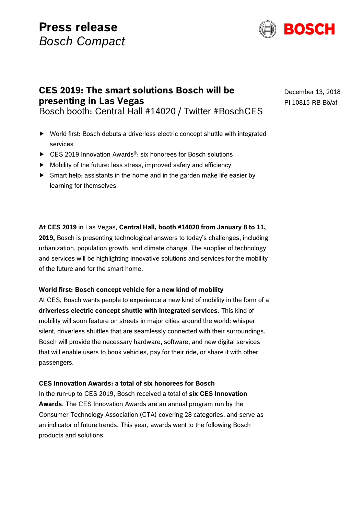# **Press release** *Bosch Compact*



# **CES 2019: The smart solutions Bosch will be presenting in Las Vegas** Bosch booth: Central Hall #14020 / Twitter #BoschCES

World first: Bosch debuts a driverless electric concept shuttle with integrated

- services
- ► CES 2019 Innovation Awards<sup>®</sup>: six honorees for Bosch solutions
- $\blacktriangleright$  Mobility of the future: less stress, improved safety and efficiency
- $\triangleright$  Smart help: assistants in the home and in the garden make life easier by learning for themselves

# **At CES 2019** in Las Vegas, **Central Hall, booth #14020 from January 8 to 11,**

**2019,** Bosch is presenting technological answers to today's challenges, including urbanization, population growth, and climate change. The supplier of technology and services will be highlighting innovative solutions and services for the mobility of the future and for the smart home.

# **World first: Bosch concept vehicle for a new kind of mobility**

At CES, Bosch wants people to experience a new kind of mobility in the form of a **driverless electric concept shuttle with integrated services**. This kind of mobility will soon feature on streets in major cities around the world: whispersilent, driverless shuttles that are seamlessly connected with their surroundings. Bosch will provide the necessary hardware, software, and new digital services that will enable users to book vehicles, pay for their ride, or share it with other passengers.

# **CES Innovation Awards: a total of six honorees for Bosch**

In the run-up to CES 2019, Bosch received a total of **six CES Innovation Awards**. The CES Innovation Awards are an annual program run by the Consumer Technology Association (CTA) covering 28 categories, and serve as an indicator of future trends. This year, awards went to the following Bosch products and solutions:

December 13, 2018 PI 10815 RB Bö/af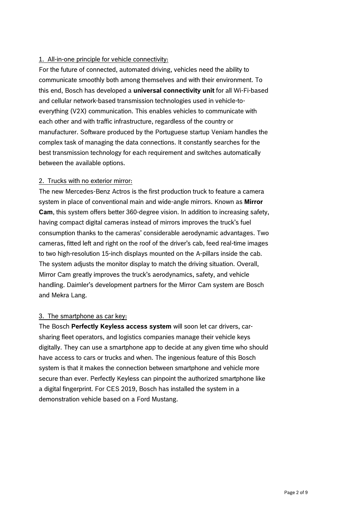# 1. All-in-one principle for vehicle connectivity:

For the future of connected, automated driving, vehicles need the ability to communicate smoothly both among themselves and with their environment. To this end, Bosch has developed a **universal connectivity unit** for all Wi-Fi-based and cellular network-based transmission technologies used in vehicle-toeverything (V2X) communication. This enables vehicles to communicate with each other and with traffic infrastructure, regardless of the country or manufacturer. Software produced by the Portuguese startup Veniam handles the complex task of managing the data connections. It constantly searches for the best transmission technology for each requirement and switches automatically between the available options.

# 2. Trucks with no exterior mirror:

The new Mercedes-Benz Actros is the first production truck to feature a camera system in place of conventional main and wide-angle mirrors. Known as **Mirror Cam**, this system offers better 360-degree vision. In addition to increasing safety, having compact digital cameras instead of mirrors improves the truck's fuel consumption thanks to the cameras' considerable aerodynamic advantages. Two cameras, fitted left and right on the roof of the driver's cab, feed real-time images to two high-resolution 15-inch displays mounted on the A-pillars inside the cab. The system adjusts the monitor display to match the driving situation. Overall, Mirror Cam greatly improves the truck's aerodynamics, safety, and vehicle handling. Daimler's development partners for the Mirror Cam system are Bosch and Mekra Lang.

# 3. The smartphone as car key:

The Bosch **Perfectly Keyless access system** will soon let car drivers, carsharing fleet operators, and logistics companies manage their vehicle keys digitally. They can use a smartphone app to decide at any given time who should have access to cars or trucks and when. The ingenious feature of this Bosch system is that it makes the connection between smartphone and vehicle more secure than ever. Perfectly Keyless can pinpoint the authorized smartphone like a digital fingerprint. For CES 2019, Bosch has installed the system in a demonstration vehicle based on a Ford Mustang.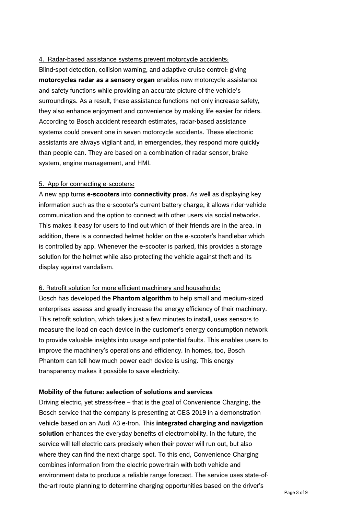#### 4. Radar-based assistance systems prevent motorcycle accidents:

Blind-spot detection, collision warning, and adaptive cruise control: giving **motorcycles radar as a sensory organ** enables new motorcycle assistance and safety functions while providing an accurate picture of the vehicle's surroundings. As a result, these assistance functions not only increase safety, they also enhance enjoyment and convenience by making life easier for riders. According to Bosch accident research estimates, radar-based assistance systems could prevent one in seven motorcycle accidents. These electronic assistants are always vigilant and, in emergencies, they respond more quickly than people can. They are based on a combination of radar sensor, brake system, engine management, and HMI.

#### 5. App for connecting e-scooters:

A new app turns **e-scooters** into **connectivity pros**. As well as displaying key information such as the e-scooter's current battery charge, it allows rider-vehicle communication and the option to connect with other users via social networks. This makes it easy for users to find out which of their friends are in the area. In addition, there is a connected helmet holder on the e-scooter's handlebar which is controlled by app. Whenever the e-scooter is parked, this provides a storage solution for the helmet while also protecting the vehicle against theft and its display against vandalism.

# 6. Retrofit solution for more efficient machinery and households:

Bosch has developed the **Phantom algorithm** to help small and medium-sized enterprises assess and greatly increase the energy efficiency of their machinery. This retrofit solution, which takes just a few minutes to install, uses sensors to measure the load on each device in the customer's energy consumption network to provide valuable insights into usage and potential faults. This enables users to improve the machinery's operations and efficiency. In homes, too, Bosch Phantom can tell how much power each device is using. This energy transparency makes it possible to save electricity.

# **Mobility of the future: selection of solutions and services**

Driving electric, yet stress-free – that is the goal of Convenience Charging, the Bosch service that the company is presenting at CES 2019 in a demonstration vehicle based on an Audi A3 e-tron. This **integrated charging and navigation solution** enhances the everyday benefits of electromobility. In the future, the service will tell electric cars precisely when their power will run out, but also where they can find the next charge spot. To this end, Convenience Charging combines information from the electric powertrain with both vehicle and environment data to produce a reliable range forecast. The service uses state-ofthe-art route planning to determine charging opportunities based on the driver's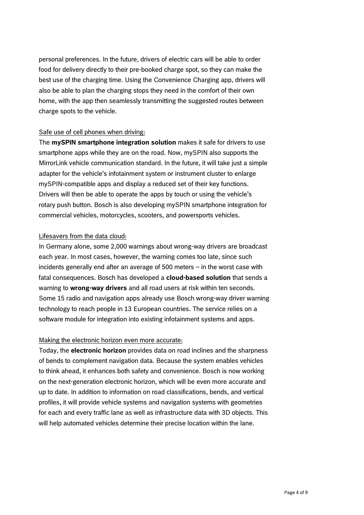personal preferences. In the future, drivers of electric cars will be able to order food for delivery directly to their pre-booked charge spot, so they can make the best use of the charging time. Using the Convenience Charging app, drivers will also be able to plan the charging stops they need in the comfort of their own home, with the app then seamlessly transmitting the suggested routes between charge spots to the vehicle.

#### Safe use of cell phones when driving:

The **mySPIN smartphone integration solution** makes it safe for drivers to use smartphone apps while they are on the road. Now, mySPIN also supports the MirrorLink vehicle communication standard. In the future, it will take just a simple adapter for the vehicle's infotainment system or instrument cluster to enlarge mySPIN-compatible apps and display a reduced set of their key functions. Drivers will then be able to operate the apps by touch or using the vehicle's rotary push button. Bosch is also developing mySPIN smartphone integration for commercial vehicles, motorcycles, scooters, and powersports vehicles.

#### Lifesavers from the data cloud:

In Germany alone, some 2,000 warnings about wrong-way drivers are broadcast each year. In most cases, however, the warning comes too late, since such incidents generally end after an average of 500 meters – in the worst case with fatal consequences. Bosch has developed a **cloud-based solution** that sends a warning to **wrong-way drivers** and all road users at risk within ten seconds. Some 15 radio and navigation apps already use Bosch wrong-way driver warning technology to reach people in 13 European countries. The service relies on a software module for integration into existing infotainment systems and apps.

# Making the electronic horizon even more accurate:

Today, the **electronic horizon** provides data on road inclines and the sharpness of bends to complement navigation data. Because the system enables vehicles to think ahead, it enhances both safety and convenience. Bosch is now working on the next-generation electronic horizon, which will be even more accurate and up to date. In addition to information on road classifications, bends, and vertical profiles, it will provide vehicle systems and navigation systems with geometries for each and every traffic lane as well as infrastructure data with 3D objects. This will help automated vehicles determine their precise location within the lane.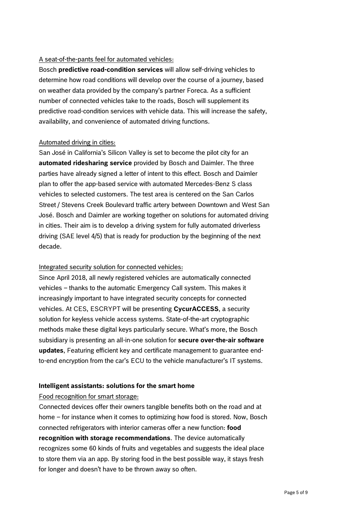# A seat-of-the-pants feel for automated vehicles:

Bosch **predictive road-condition services** will allow self-driving vehicles to determine how road conditions will develop over the course of a journey, based on weather data provided by the company's partner Foreca. As a sufficient number of connected vehicles take to the roads, Bosch will supplement its predictive road-condition services with vehicle data. This will increase the safety, availability, and convenience of automated driving functions.

# Automated driving in cities:

San José in California's Silicon Valley is set to become the pilot city for an **automated ridesharing service** provided by Bosch and Daimler. The three parties have already signed a letter of intent to this effect. Bosch and Daimler plan to offer the app-based service with automated Mercedes-Benz S class vehicles to selected customers. The test area is centered on the San Carlos Street / Stevens Creek Boulevard traffic artery between Downtown and West San José. Bosch and Daimler are working together on solutions for automated driving in cities. Their aim is to develop a driving system for fully automated driverless driving (SAE level 4/5) that is ready for production by the beginning of the next decade.

# Integrated security solution for connected vehicles:

Since April 2018, all newly registered vehicles are automatically connected vehicles – thanks to the automatic Emergency Call system. This makes it increasingly important to have integrated security concepts for connected vehicles. At CES, ESCRYPT will be presenting **CycurACCESS**, a security solution for keyless vehicle access systems. State-of-the-art cryptographic methods make these digital keys particularly secure. What's more, the Bosch subsidiary is presenting an all-in-one solution for **secure over-the-air software updates**, Featuring efficient key and certificate management to guarantee endto-end encryption from the car's ECU to the vehicle manufacturer's IT systems.

# **Intelligent assistants: solutions for the smart home**

#### Food recognition for smart storage:

Connected devices offer their owners tangible benefits both on the road and at home – for instance when it comes to optimizing how food is stored. Now, Bosch connected refrigerators with interior cameras offer a new function: **food recognition with storage recommendations**. The device automatically recognizes some 60 kinds of fruits and vegetables and suggests the ideal place to store them via an app. By storing food in the best possible way, it stays fresh for longer and doesn't have to be thrown away so often.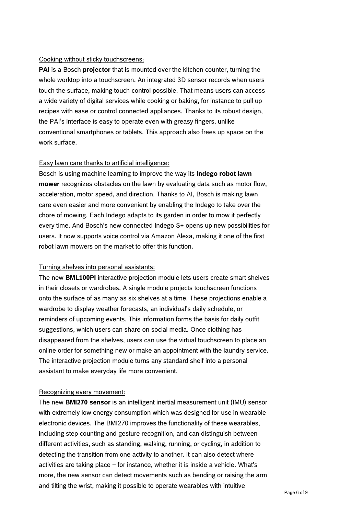#### Cooking without sticky touchscreens:

**PAI** is a Bosch **projector** that is mounted over the kitchen counter, turning the whole worktop into a touchscreen. An integrated 3D sensor records when users touch the surface, making touch control possible. That means users can access a wide variety of digital services while cooking or baking, for instance to pull up recipes with ease or control connected appliances. Thanks to its robust design, the PAI's interface is easy to operate even with greasy fingers, unlike conventional smartphones or tablets. This approach also frees up space on the work surface.

#### Easy lawn care thanks to artificial intelligence:

Bosch is using machine learning to improve the way its **Indego robot lawn mower** recognizes obstacles on the lawn by evaluating data such as motor flow, acceleration, motor speed, and direction. Thanks to AI, Bosch is making lawn care even easier and more convenient by enabling the Indego to take over the chore of mowing. Each Indego adapts to its garden in order to mow it perfectly every time. And Bosch's new connected Indego S+ opens up new possibilities for users. It now supports voice control via Amazon Alexa, making it one of the first robot lawn mowers on the market to offer this function.

#### Turning shelves into personal assistants:

The new **BML100PI** interactive projection module lets users create smart shelves in their closets or wardrobes. A single module projects touchscreen functions onto the surface of as many as six shelves at a time. These projections enable a wardrobe to display weather forecasts, an individual's daily schedule, or reminders of upcoming events. This information forms the basis for daily outfit suggestions, which users can share on social media. Once clothing has disappeared from the shelves, users can use the virtual touchscreen to place an online order for something new or make an appointment with the laundry service. The interactive projection module turns any standard shelf into a personal assistant to make everyday life more convenient.

#### Recognizing every movement:

The new **BMI270 sensor** is an intelligent inertial measurement unit (IMU) sensor with extremely low energy consumption which was designed for use in wearable electronic devices. The BMI270 improves the functionality of these wearables, including step counting and gesture recognition, and can distinguish between different activities, such as standing, walking, running, or cycling, in addition to detecting the transition from one activity to another. It can also detect where activities are taking place – for instance, whether it is inside a vehicle. What's more, the new sensor can detect movements such as bending or raising the arm and tilting the wrist, making it possible to operate wearables with intuitive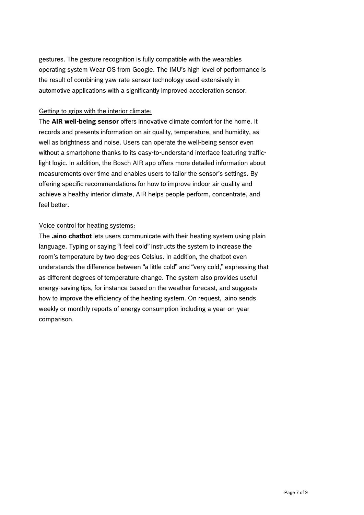gestures. The gesture recognition is fully compatible with the wearables operating system Wear OS from Google. The IMU's high level of performance is the result of combining yaw-rate sensor technology used extensively in automotive applications with a significantly improved acceleration sensor.

#### Getting to grips with the interior climate:

The **AIR well-being sensor** offers innovative climate comfort for the home. It records and presents information on air quality, temperature, and humidity, as well as brightness and noise. Users can operate the well-being sensor even without a smartphone thanks to its easy-to-understand interface featuring trafficlight logic. In addition, the Bosch AIR app offers more detailed information about measurements over time and enables users to tailor the sensor's settings. By offering specific recommendations for how to improve indoor air quality and achieve a healthy interior climate, AIR helps people perform, concentrate, and feel better.

#### Voice control for heating systems:

The **.aino chatbot** lets users communicate with their heating system using plain language. Typing or saying "I feel cold" instructs the system to increase the room's temperature by two degrees Celsius. In addition, the chatbot even understands the difference between "a little cold" and "very cold," expressing that as different degrees of temperature change. The system also provides useful energy-saving tips, for instance based on the weather forecast, and suggests how to improve the efficiency of the heating system. On request, .aino sends weekly or monthly reports of energy consumption including a year-on-year comparison.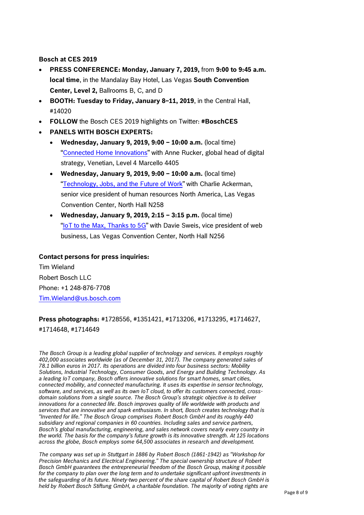#### **Bosch at CES 2019**

- **PRESS CONFERENCE: Monday, January 7, 2019,** from **9:00 to 9:45 a.m. local time**, in the Mandalay Bay Hotel, Las Vegas **South Convention Center, Level 2,** Ballrooms B, C, and D
- **BOOTH: Tuesday to Friday, January 8–11, 2019**, in the Central Hall, #14020
- **FOLLOW** the Bosch CES 2019 highlights on Twitter: **#BoschCES**
- **PANELS WITH BOSCH EXPERTS:** 
	- **Wednesday, January 9, 2019, 9:00 – 10:00 a.m.** (local time) "[Connected Home Innovations](https://www.ces.tech/conference/Smart-Home/Connected-Home-Innovations.aspx)" with Anne Rucker, global head of digital strategy, Venetian, Level 4 Marcello 4405
	- **Wednesday, January 9, 2019, 9:00 – 10:00 a.m.** (local time) "[Technology, Jobs, and the Future of Work](https://www.ces.tech/conference/Future-of-Work/Technology-Jobs-and-the-Future-of-Work.aspx)" with Charlie Ackerman, senior vice president of human resources North America, Las Vegas Convention Center, North Hall N258
	- **Wednesday, January 9, 2019, 2:15 – 3:15 p.m.** (local time) "[IoT to the Max, Thanks to 5G](https://www.ces.tech/conference/5G-Connectivity-and-Mobility/IoT-to-the-Max-Thanks-to-5G.aspx)" with Davie Sweis, vice president of web business, Las Vegas Convention Center, North Hall N256

#### **Contact persons for press inquiries:**

Tim Wieland Robert Bosch LLC Phone: +1 248-876-7708 [Tim.Wieland@us.bosch.com](mailto:Tim.Wieland@us.bosch.com)

# **Press photographs:** #1728556, #1351421, #1713206, #1713295, #1714627, #1714648, #1714649

*The Bosch Group is a leading global supplier of technology and services. It employs roughly 402,000 associates worldwide (as of December 31, 2017). The company generated sales of 78.1 billion euros in 2017. Its operations are divided into four business sectors: Mobility Solutions, Industrial Technology, Consumer Goods, and Energy and Building Technology. As a leading IoT company, Bosch offers innovative solutions for smart homes, smart cities, connected mobility, and connected manufacturing. It uses its expertise in sensor technology, software, and services, as well as its own IoT cloud, to offer its customers connected, crossdomain solutions from a single source. The Bosch Group's strategic objective is to deliver innovations for a connected life. Bosch improves quality of life worldwide with products and services that are innovative and spark enthusiasm. In short, Bosch creates technology that is "Invented for life." The Bosch Group comprises Robert Bosch GmbH and its roughly 440 subsidiary and regional companies in 60 countries. Including sales and service partners, Bosch's global manufacturing, engineering, and sales network covers nearly every country in the world. The basis for the company's future growth is its innovative strength. At 125 locations across the globe, Bosch employs some 64,500 associates in research and development.*

*The company was set up in Stuttgart in 1886 by Robert Bosch (1861-1942) as "Workshop for Precision Mechanics and Electrical Engineering." The special ownership structure of Robert Bosch GmbH guarantees the entrepreneurial freedom of the Bosch Group, making it possible for the company to plan over the long term and to undertake significant upfront investments in the safeguarding of its future. Ninety-two percent of the share capital of Robert Bosch GmbH is held by Robert Bosch Stiftung GmbH, a charitable foundation. The majority of voting rights are*